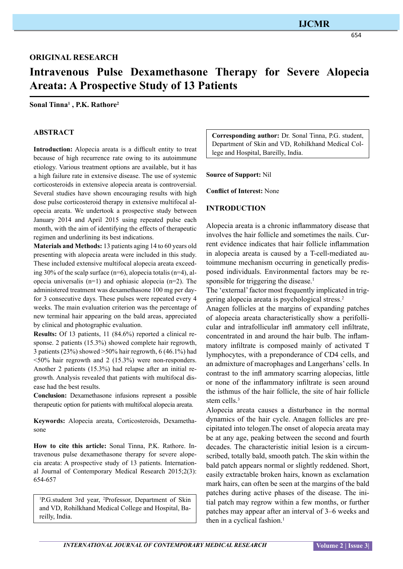654

**Intravenous Pulse Dexamethasone Therapy for Severe Alopecia Areata: A Prospective Study of 13 Patients**

#### **Sonal Tinna1 , P.K. Rathore2**

### **ABSTRACT**

**Introduction:** Alopecia areata is a difficult entity to treat because of high recurrence rate owing to its autoimmune etiology. Various treatment options are available, but it has a high failure rate in extensive disease. The use of systemic corticosteroids in extensive alopecia areata is controversial. Several studies have shown encouraging results with high dose pulse corticosteroid therapy in extensive multifocal alopecia areata. We undertook a prospective study between January 2014 and April 2015 using repeated pulse each month, with the aim of identifying the effects of therapeutic regimen and underlining its best indications.

**Materials and Methods:** 13 patients aging 14 to 60 years old presenting with alopecia areata were included in this study. These included extensive multifocal alopecia areata exceeding 30% of the scalp surface  $(n=6)$ , alopecia totalis  $(n=4)$ , alopecia universalis (n=1) and ophiasic alopecia (n=2). The administered treatment was dexamethasone 100 mg per dayfor 3 consecutive days. These pulses were repeated every 4 weeks. The main evaluation criterion was the percentage of new terminal hair appearing on the bald areas, appreciated by clinical and photographic evaluation.

**Results:** Of 13 patients, 11 (84.6%) reported a clinical response. 2 patients (15.3%) showed complete hair regrowth, 3 patients (23%) showed  $>50\%$  hair regrowth, 6 (46.1%) had  $\leq 50\%$  hair regrowth and 2 (15.3%) were non-responders. Another 2 patients (15.3%) had relapse after an initial regrowth. Analysis revealed that patients with multifocal disease had the best results.

**Conclusion:** Dexamethasone infusions represent a possible therapeutic option for patients with multifocal alopecia areata.

**Keywords:** Alopecia areata, Corticosteroids, Dexamethasone

**How to cite this article:** Sonal Tinna, P.K. Rathore. Intravenous pulse dexamethasone therapy for severe alopecia areata: A prospective study of 13 patients. International Journal of Contemporary Medical Research 2015;2(3): 654-657

1 P.G.student 3rd year, 2 Professor, Department of Skin and VD, Rohilkhand Medical College and Hospital, Bareilly, India.

**Corresponding author:** Dr. Sonal Tinna, P.G. student, Department of Skin and VD, Rohilkhand Medical College and Hospital, Bareilly, India.

#### **Source of Support:** Nil

**Conflict of Interest:** None

#### **INTRODUCTION**

Alopecia areata is a chronic inflammatory disease that involves the hair follicle and sometimes the nails. Current evidence indicates that hair follicle inflammation in alopecia areata is caused by a T-cell-mediated autoimmune mechanism occurring in genetically predisposed individuals. Environmental factors may be responsible for triggering the disease.<sup>1</sup>

The 'external' factor most frequently implicated in triggering alopecia areata is psychological stress.2

Anagen follicles at the margins of expanding patches of alopecia areata characteristically show a perifollicular and intrafollicular infl ammatory cell infiltrate, concentrated in and around the hair bulb. The inflammatory infiltrate is composed mainly of activated T lymphocytes, with a preponderance of CD4 cells, and an admixture of macrophages and Langerhans' cells. In contrast to the infl ammatory scarring alopecias, little or none of the inflammatory infiltrate is seen around the isthmus of the hair follicle, the site of hair follicle stem cells.<sup>3</sup>

Alopecia areata causes a disturbance in the normal dynamics of the hair cycle. Anagen follicles are precipitated into telogen.The onset of alopecia areata may be at any age, peaking between the second and fourth decades. The characteristic initial lesion is a circumscribed, totally bald, smooth patch. The skin within the bald patch appears normal or slightly reddened. Short, easily extractable broken hairs, known as exclamation mark hairs, can often be seen at the margins of the bald patches during active phases of the disease. The initial patch may regrow within a few months, or further patches may appear after an interval of 3–6 weeks and then in a cyclical fashion.<sup>1</sup>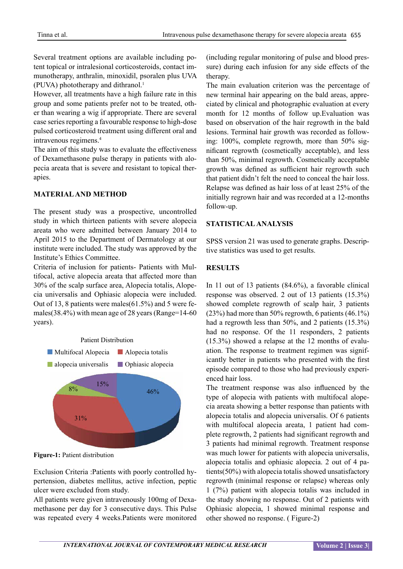Several treatment options are available including potent topical or intralesional corticosteroids, contact immunotherapy, anthralin, minoxidil, psoralen plus UVA (PUVA) phototherapy and dithranol.<sup>1</sup>

However, all treatments have a high failure rate in this group and some patients prefer not to be treated, other than wearing a wig if appropriate. There are several case series reporting a favourable response to high-dose pulsed corticosteroid treatment using different oral and intravenous regimens.4

The aim of this study was to evaluate the effectiveness of Dexamethasone pulse therapy in patients with alopecia areata that is severe and resistant to topical therapies.

## **MATERIAL AND METHOD**

The present study was a prospective, uncontrolled study in which thirteen patients with severe alopecia areata who were admitted between January 2014 to April 2015 to the Department of Dermatology at our institute were included. The study was approved by the Institute's Ethics Committee.

Criteria of inclusion for patients- Patients with Multifocal, active alopecia areata that affected more than 30% of the scalp surface area, Alopecia totalis, Alopecia universalis and Ophiasic alopecia were included. Out of 13, 8 patients were males(61.5%) and 5 were females(38.4%) with mean age of 28 years (Range=14-60 years).



**Figure-1:** Patient distribution

Exclusion Criteria :Patients with poorly controlled hypertension, diabetes mellitus, active infection, peptic ulcer were excluded from study.

All patients were given intravenously 100mg of Dexamethasone per day for 3 consecutive days. This Pulse was repeated every 4 weeks.Patients were monitored

(including regular monitoring of pulse and blood pressure) during each infusion for any side effects of the therapy.

The main evaluation criterion was the percentage of new terminal hair appearing on the bald areas, appreciated by clinical and photographic evaluation at every month for 12 months of follow up.Evaluation was based on observation of the hair regrowth in the bald lesions. Terminal hair growth was recorded as following: 100%, complete regrowth, more than 50% significant regrowth (cosmetically acceptable), and less than 50%, minimal regrowth. Cosmetically acceptable growth was defined as sufficient hair regrowth such that patient didn't felt the need to conceal the hair loss. Relapse was defined as hair loss of at least 25% of the initially regrown hair and was recorded at a 12‑months follow‑up.

# **STATISTICAL ANALYSIS**

SPSS version 21 was used to generate graphs. Descriptive statistics was used to get results.

# **RESULTS**

In 11 out of 13 patients (84.6%), a favorable clinical response was observed. 2 out of 13 patients (15.3%) showed complete regrowth of scalp hair, 3 patients (23%) had more than 50% regrowth, 6 patients (46.1%) had a regrowth less than 50%, and 2 patients (15.3%) had no response. Of the 11 responders, 2 patients (15.3%) showed a relapse at the 12 months of evaluation. The response to treatment regimen was significantly better in patients who presented with the first episode compared to those who had previously experienced hair loss.

The treatment response was also influenced by the type of alopecia with patients with multifocal alopecia areata showing a better response than patients with alopecia totalis and alopecia universalis. Of 6 patients with multifocal alopecia areata, 1 patient had complete regrowth, 2 patients had significant regrowth and 3 patients had minimal regrowth. Treatment response was much lower for patients with alopecia universalis, alopecia totalis and ophiasic alopecia. 2 out of 4 patients(50%) with alopecia totalis showed unsatisfactory regrowth (minimal response or relapse) whereas only 1 (7%) patient with alopecia totalis was included in the study showing no response. Out of 2 patients with Ophiasic alopecia, 1 showed minimal response and other showed no response. ( Figure-2)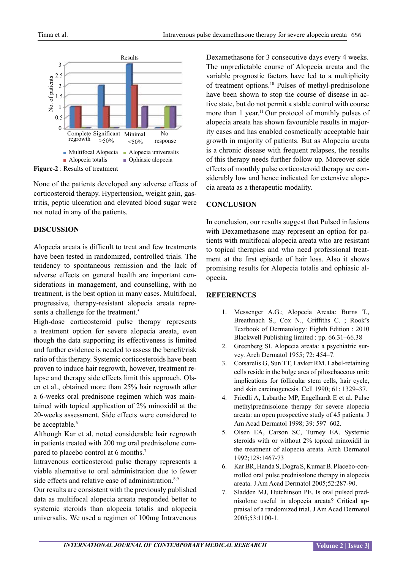

**Figure-2** : Results of treatment

None of the patients developed any adverse effects of corticosteroid therapy. Hypertension, weight gain, gastritis, peptic ulceration and elevated blood sugar were not noted in any of the patients.

## **DISCUSSION**

Alopecia areata is difficult to treat and few treatments have been tested in randomized, controlled trials. The tendency to spontaneous remission and the lack of adverse effects on general health are important considerations in management, and counselling, with no treatment, is the best option in many cases. Multifocal, progressive, therapy-resistant alopecia areata represents a challenge for the treatment.<sup>5</sup>

High-dose corticosteroid pulse therapy represents a treatment option for severe alopecia areata, even though the data supporting its effectiveness is limited and further evidence is needed to assess the benefit/risk ratio of this therapy. Systemic corticosteroids have been proven to induce hair regrowth, however, treatment relapse and therapy side effects limit this approach. Olsen et al., obtained more than 25% hair regrowth after a 6‑weeks oral prednisone regimen which was maintained with topical application of 2% minoxidil at the 20‑weeks assessment. Side effects were considered to be acceptable.<sup>6</sup>

Although Kar et al. noted considerable hair regrowth in patients treated with 200 mg oral prednisolone compared to placebo control at 6 months.<sup>7</sup>

Intravenous corticosteroid pulse therapy represents a viable alternative to oral administration due to fewer side effects and relative ease of administration.<sup>8,9</sup>

Our results are consistent with the previously published data as multifocal alopecia areata responded better to systemic steroids than alopecia totalis and alopecia universalis. We used a regimen of 100mg Intravenous

Dexamethasone for 3 consecutive days every 4 weeks. The unpredictable course of Alopecia areata and the variable prognostic factors have led to a multiplicity of treatment options.10 Pulses of methyl-prednisolone have been shown to stop the course of disease in active state, but do not permit a stable control with course more than 1 year.<sup>11</sup> Our protocol of monthly pulses of alopecia areata has shown favourable results in majority cases and has enabled cosmetically acceptable hair growth in majority of patients. But as Alopecia areata is a chronic disease with frequent relapses, the results of this therapy needs further follow up. Moreover side effects of monthly pulse corticosteroid therapy are considerably low and hence indicated for extensive alopecia areata as a therapeutic modality.

# **CONCLUSION**

In conclusion, our results suggest that Pulsed infusions with Dexamethasone may represent an option for patients with multifocal alopecia areata who are resistant to topical therapies and who need professional treatment at the first episode of hair loss. Also it shows promising results for Alopecia totalis and ophiasic alopecia.

## **REFERENCES**

- 1. Messenger A.G.; Alopecia Areata: Burns T., Breathnach S., Cox N., Griffiths C. ; Rook's Textbook of Dermatology: Eighth Edition : 2010 Blackwell Publishing limited : pp. 66.31–66.38
- 2. Greenberg SI. Alopecia areata: a psychiatric survey. Arch Dermatol 1955; 72: 454–7.
- 3. Cotsarelis G, Sun TT, Lavker RM. Label-retaining cells reside in the bulge area of pilosebaceous unit: implications for follicular stem cells, hair cycle, and skin carcinogenesis. Cell 1990; 61: 1329–37.
- 4. Friedli A, Labarthe MP, Engelhardt E et al. Pulse methylprednisolone therapy for severe alopecia areata: an open prospective study of 45 patients. J Am Acad Dermatol 1998; 39: 597–602.
- 5. Olsen EA, Carson SC, Turney EA. Systemic steroids with or without 2% topical minoxidil in the treatment of alopecia areata. Arch Dermatol 1992;128:1467‑73
- 6. Kar BR, Handa S, Dogra S, Kumar B. Placebo‑controlled oral pulse prednisolone therapy in alopecia areata. J Am Acad Dermatol 2005;52:287‑90.
- 7. Sladden MJ, Hutchinson PE. Is oral pulsed prednisolone useful in alopecia areata? Critical appraisal of a randomized trial. J Am Acad Dermatol 2005;53:1100‑1.